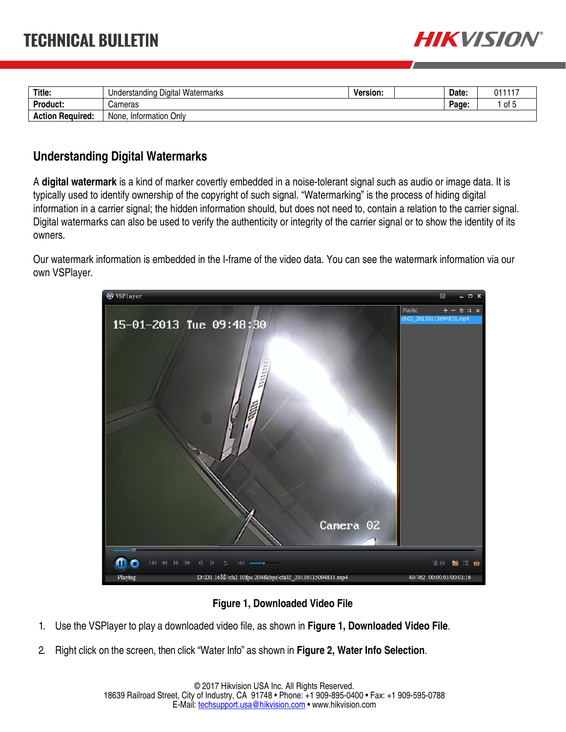

| Title.                  | Understanding Digital Watermarks | Version. | Date: | 011117                            |
|-------------------------|----------------------------------|----------|-------|-----------------------------------|
| Product:                | Cameras                          |          | Page: | $\cdot$ of $\overline{ }$<br>ט וט |
| <b>Action Required:</b> | . Information Only<br>None.      |          |       |                                   |

## **Understanding Digital Watermarks**

A **digital watermark** is a kind of marker covertly embedded in a noise-tolerant signal such as audio or image data. It is typically used to identify ownership of the copyright of such signal. "Watermarking" is the process of hiding digital information in a carrier signal; the hidden information should, but does not need to, contain a relation to the carrier signal. Digital watermarks can also be used to verify the authenticity or integrity of the carrier signal or to show the identity of its owners.

Our watermark information is embedded in the I-frame of the video data. You can see the watermark information via our own VSPlayer.



## **Figure 1, Downloaded Video File**

- 1. Use the VSPlayer to play a downloaded video file, as shown in **Figure 1, Downloaded Video File**.
- 2. Right click on the screen, then click "Water Info" as shown in **Figure 2, Water Info Selection**.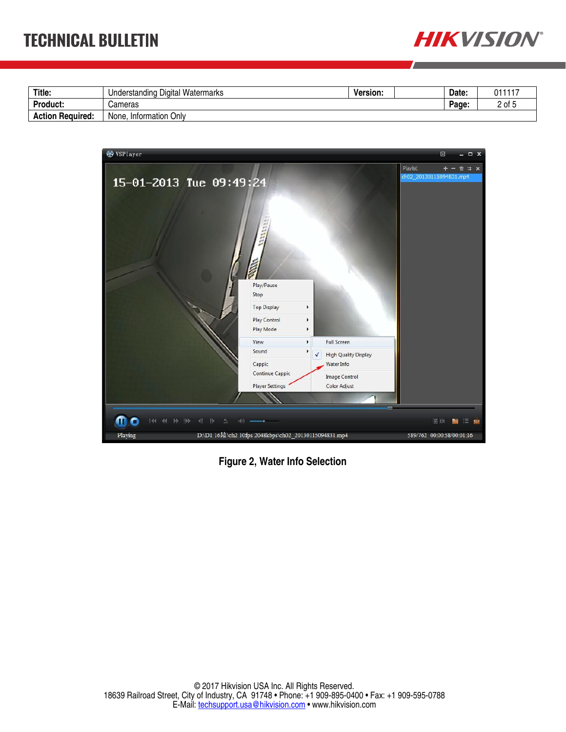

| Title.                  | Digital<br>Watermarks<br>Understanding | Version. | Date: | 011117 |
|-------------------------|----------------------------------------|----------|-------|--------|
| <b>Product:</b>         | Cameras                                |          | Page: | . ot   |
| <b>Action Required:</b> | Onlv<br>None. Information Q            |          |       |        |



**Figure 2, Water Info Selection**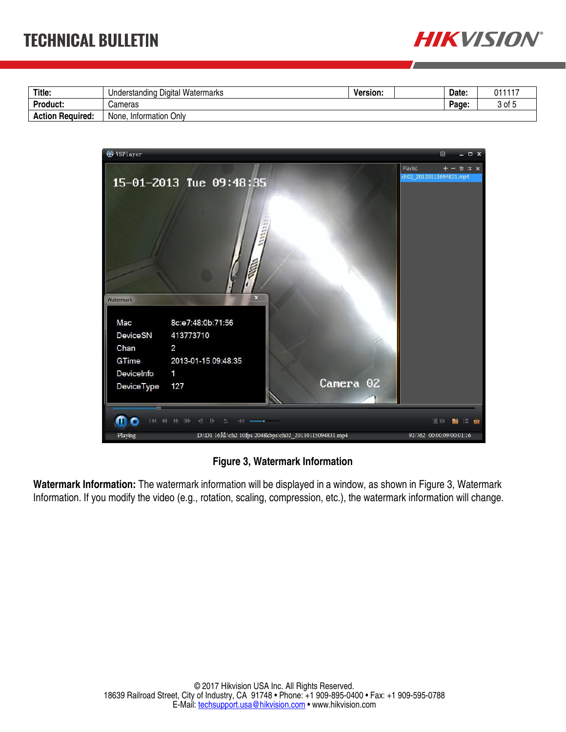

| Title.                  | ı Digital Watermarks<br>Understanding | <b>Version:</b> | Date: | 011117 |
|-------------------------|---------------------------------------|-----------------|-------|--------|
| Product:                | Cameras                               |                 | Page. | 3 of 5 |
| <b>Action Required:</b> | Onlv<br>None, Information             |                 |       |        |



## **Figure 3, Watermark Information**

**Watermark Information:** The watermark information will be displayed in a window, as shown in Figure 3, Watermark Information. If you modify the video (e.g., rotation, scaling, compression, etc.), the watermark information will change.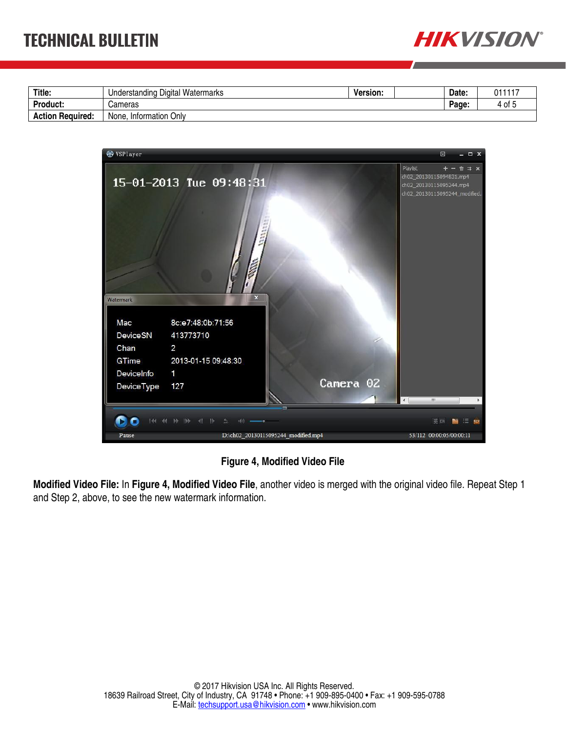

| Title.                  | Digital<br>Watermarks<br>Understanding | Version. | Date: |       | 011117 |
|-------------------------|----------------------------------------|----------|-------|-------|--------|
| <b>Product:</b>         | Cameras                                |          |       | Page. | 4 of   |
| <b>Action Required:</b> | Only<br>None.<br>Information           |          |       |       |        |



**Figure 4, Modified Video File** 

**Modified Video File:** In **Figure 4, Modified Video File**, another video is merged with the original video file. Repeat Step 1 and Step 2, above, to see the new watermark information.